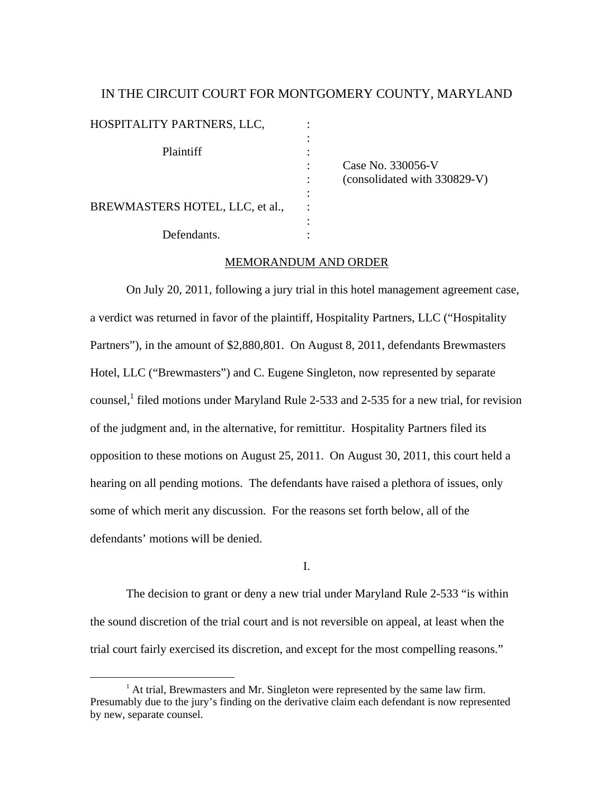# IN THE CIRCUIT COURT FOR MONTGOMERY COUNTY, MARYLAND

| HOSPITALITY PARTNERS, LLC,      |                                                   |  |
|---------------------------------|---------------------------------------------------|--|
| Plaintiff                       | Case No. 330056-V<br>(consolidated with 330829-V) |  |
| BREWMASTERS HOTEL, LLC, et al., |                                                   |  |
| Defendants.                     |                                                   |  |

### MEMORANDUM AND ORDER

 On July 20, 2011, following a jury trial in this hotel management agreement case, a verdict was returned in favor of the plaintiff, Hospitality Partners, LLC ("Hospitality Partners"), in the amount of \$2,880,801. On August 8, 2011, defendants Brewmasters Hotel, LLC ("Brewmasters") and C. Eugene Singleton, now represented by separate counsel,<sup>1</sup> filed motions under Maryland Rule 2-533 and 2-535 for a new trial, for revision of the judgment and, in the alternative, for remittitur. Hospitality Partners filed its opposition to these motions on August 25, 2011. On August 30, 2011, this court held a hearing on all pending motions. The defendants have raised a plethora of issues, only some of which merit any discussion. For the reasons set forth below, all of the defendants' motions will be denied.

I.

The decision to grant or deny a new trial under Maryland Rule 2-533 "is within the sound discretion of the trial court and is not reversible on appeal, at least when the trial court fairly exercised its discretion, and except for the most compelling reasons."

 $<sup>1</sup>$  At trial, Brewmasters and Mr. Singleton were represented by the same law firm.</sup> Presumably due to the jury's finding on the derivative claim each defendant is now represented by new, separate counsel.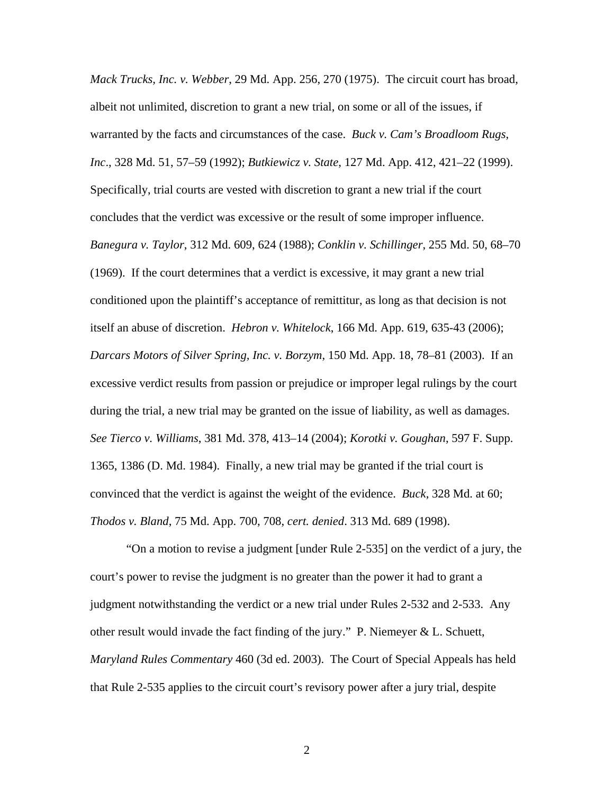*Mack Trucks, Inc. v. Webber*, 29 Md. App. 256, 270 (1975). The circuit court has broad, albeit not unlimited, discretion to grant a new trial, on some or all of the issues, if warranted by the facts and circumstances of the case. *Buck v. Cam's Broadloom Rugs, Inc*., 328 Md. 51, 57–59 (1992); *Butkiewicz v. State*, 127 Md. App. 412, 421–22 (1999). Specifically, trial courts are vested with discretion to grant a new trial if the court concludes that the verdict was excessive or the result of some improper influence. *Banegura v. Taylor*, 312 Md. 609, 624 (1988); *Conklin v. Schillinger*, 255 Md. 50, 68–70 (1969). If the court determines that a verdict is excessive, it may grant a new trial conditioned upon the plaintiff's acceptance of remittitur, as long as that decision is not itself an abuse of discretion. *Hebron v. Whitelock*, 166 Md. App. 619, 635-43 (2006); *Darcars Motors of Silver Spring, Inc. v. Borzym*, 150 Md. App. 18, 78–81 (2003). If an excessive verdict results from passion or prejudice or improper legal rulings by the court during the trial, a new trial may be granted on the issue of liability, as well as damages. *See Tierco v. Williams*, 381 Md. 378, 413–14 (2004); *Korotki v. Goughan*, 597 F. Supp. 1365, 1386 (D. Md. 1984). Finally, a new trial may be granted if the trial court is convinced that the verdict is against the weight of the evidence. *Buck,* 328 Md. at 60; *Thodos v. Bland*, 75 Md. App. 700, 708, *cert. denied*. 313 Md. 689 (1998).

"On a motion to revise a judgment [under Rule 2-535] on the verdict of a jury, the court's power to revise the judgment is no greater than the power it had to grant a judgment notwithstanding the verdict or a new trial under Rules 2-532 and 2-533. Any other result would invade the fact finding of the jury." P. Niemeyer & L. Schuett, *Maryland Rules Commentary* 460 (3d ed. 2003). The Court of Special Appeals has held that Rule 2-535 applies to the circuit court's revisory power after a jury trial, despite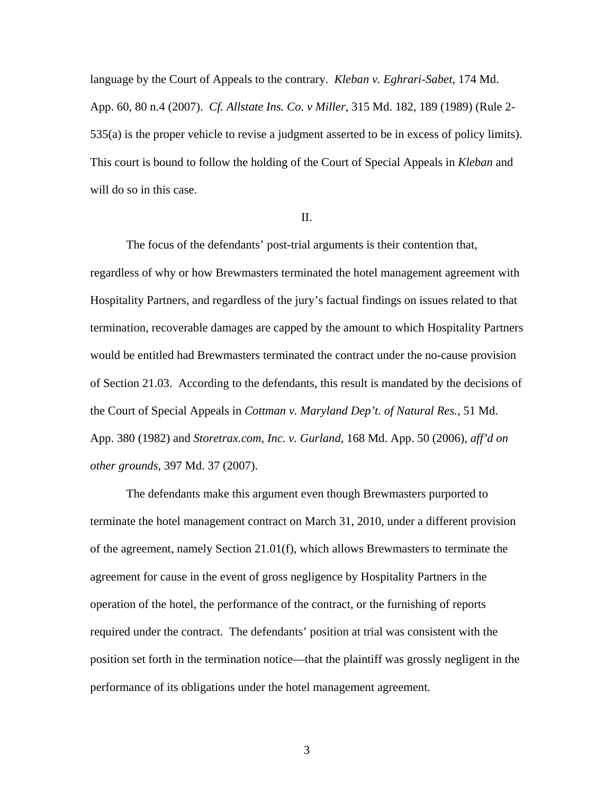language by the Court of Appeals to the contrary. *Kleban v. Eghrari-Sabet*, 174 Md. App. 60, 80 n.4 (2007). *Cf. Allstate Ins. Co. v Miller*, 315 Md. 182, 189 (1989) (Rule 2- 535(a) is the proper vehicle to revise a judgment asserted to be in excess of policy limits). This court is bound to follow the holding of the Court of Special Appeals in *Kleban* and will do so in this case.

#### II.

 The focus of the defendants' post-trial arguments is their contention that, regardless of why or how Brewmasters terminated the hotel management agreement with Hospitality Partners, and regardless of the jury's factual findings on issues related to that termination, recoverable damages are capped by the amount to which Hospitality Partners would be entitled had Brewmasters terminated the contract under the no-cause provision of Section 21.03. According to the defendants, this result is mandated by the decisions of the Court of Special Appeals in *Cottman v. Maryland Dep't. of Natural Res.*, 51 Md. App. 380 (1982) and *Storetrax.com, Inc. v. Gurland*, 168 Md. App. 50 (2006), *aff'd on other grounds*, 397 Md. 37 (2007).

The defendants make this argument even though Brewmasters purported to terminate the hotel management contract on March 31, 2010, under a different provision of the agreement, namely Section 21.01(f), which allows Brewmasters to terminate the agreement for cause in the event of gross negligence by Hospitality Partners in the operation of the hotel, the performance of the contract, or the furnishing of reports required under the contract. The defendants' position at trial was consistent with the position set forth in the termination notice—that the plaintiff was grossly negligent in the performance of its obligations under the hotel management agreement.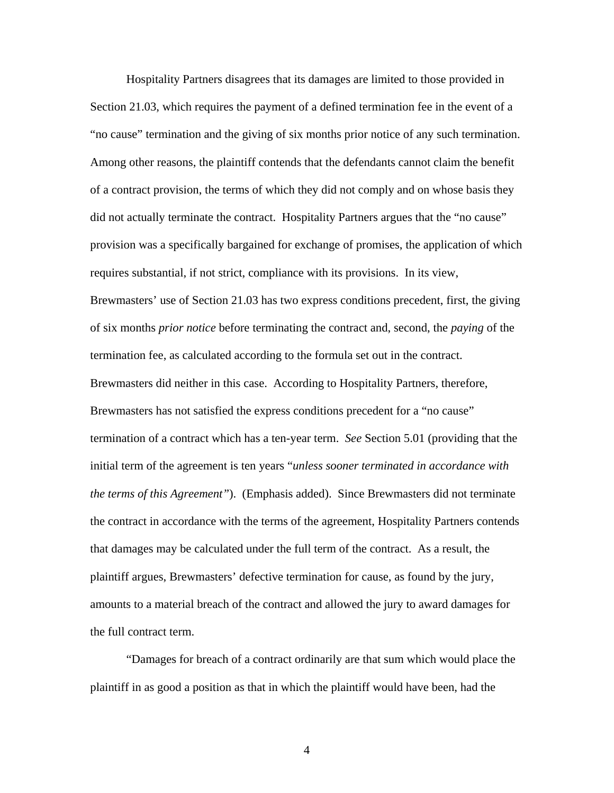Hospitality Partners disagrees that its damages are limited to those provided in Section 21.03, which requires the payment of a defined termination fee in the event of a "no cause" termination and the giving of six months prior notice of any such termination. Among other reasons, the plaintiff contends that the defendants cannot claim the benefit of a contract provision, the terms of which they did not comply and on whose basis they did not actually terminate the contract. Hospitality Partners argues that the "no cause" provision was a specifically bargained for exchange of promises, the application of which requires substantial, if not strict, compliance with its provisions. In its view, Brewmasters' use of Section 21.03 has two express conditions precedent, first, the giving of six months *prior notice* before terminating the contract and, second, the *paying* of the termination fee, as calculated according to the formula set out in the contract. Brewmasters did neither in this case. According to Hospitality Partners, therefore, Brewmasters has not satisfied the express conditions precedent for a "no cause" termination of a contract which has a ten-year term. *See* Section 5.01 (providing that the initial term of the agreement is ten years "*unless sooner terminated in accordance with the terms of this Agreement"*). (Emphasis added). Since Brewmasters did not terminate the contract in accordance with the terms of the agreement, Hospitality Partners contends that damages may be calculated under the full term of the contract. As a result, the plaintiff argues, Brewmasters' defective termination for cause, as found by the jury, amounts to a material breach of the contract and allowed the jury to award damages for the full contract term.

"Damages for breach of a contract ordinarily are that sum which would place the plaintiff in as good a position as that in which the plaintiff would have been, had the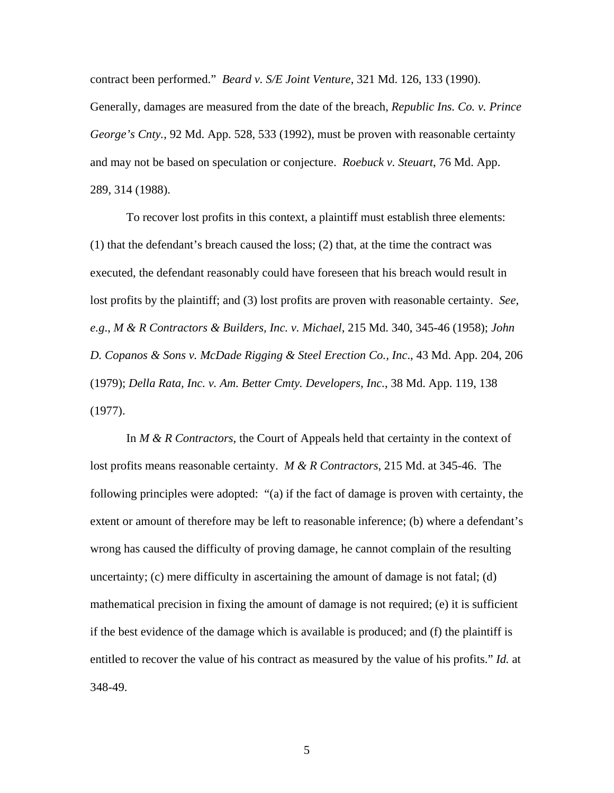contract been performed." *Beard v. S/E Joint Venture*, 321 Md. 126, 133 (1990).

Generally, damages are measured from the date of the breach, *Republic Ins. Co. v. Prince George's Cnty.*, 92 Md. App. 528, 533 (1992), must be proven with reasonable certainty and may not be based on speculation or conjecture. *Roebuck v. Steuart*, 76 Md. App. 289, 314 (1988).

To recover lost profits in this context, a plaintiff must establish three elements: (1) that the defendant's breach caused the loss; (2) that, at the time the contract was executed, the defendant reasonably could have foreseen that his breach would result in lost profits by the plaintiff; and (3) lost profits are proven with reasonable certainty. *See, e.g*., *M & R Contractors & Builders, Inc. v. Michael*, 215 Md. 340, 345-46 (1958); *John D. Copanos & Sons v. McDade Rigging & Steel Erection Co., Inc*., 43 Md. App. 204, 206 (1979); *Della Rata, Inc. v. Am. Better Cmty. Developers, Inc.*, 38 Md. App. 119, 138 (1977).

In *M & R Contractors*, the Court of Appeals held that certainty in the context of lost profits means reasonable certainty. *M & R Contractors*, 215 Md. at 345-46. The following principles were adopted: "(a) if the fact of damage is proven with certainty, the extent or amount of therefore may be left to reasonable inference; (b) where a defendant's wrong has caused the difficulty of proving damage, he cannot complain of the resulting uncertainty; (c) mere difficulty in ascertaining the amount of damage is not fatal; (d) mathematical precision in fixing the amount of damage is not required; (e) it is sufficient if the best evidence of the damage which is available is produced; and (f) the plaintiff is entitled to recover the value of his contract as measured by the value of his profits." *Id.* at 348-49.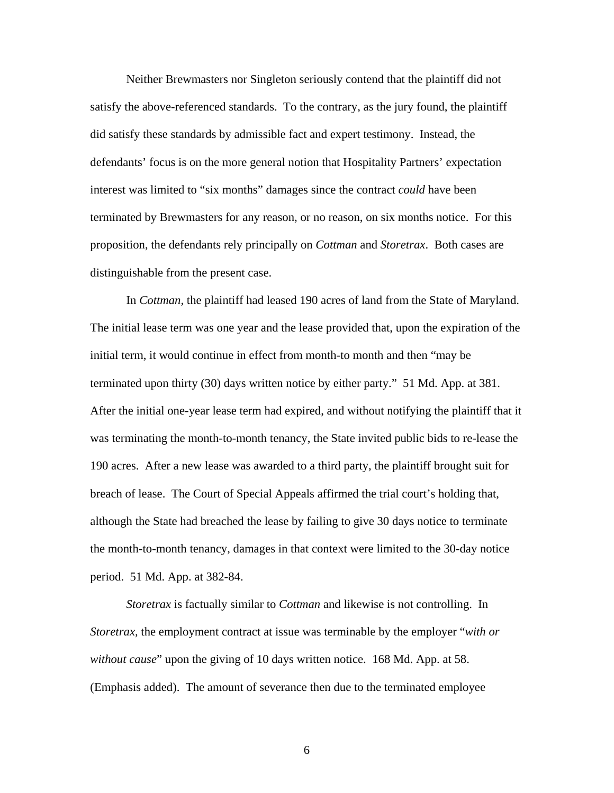Neither Brewmasters nor Singleton seriously contend that the plaintiff did not satisfy the above-referenced standards. To the contrary, as the jury found, the plaintiff did satisfy these standards by admissible fact and expert testimony. Instead, the defendants' focus is on the more general notion that Hospitality Partners' expectation interest was limited to "six months" damages since the contract *could* have been terminated by Brewmasters for any reason, or no reason, on six months notice. For this proposition, the defendants rely principally on *Cottman* and *Storetrax*. Both cases are distinguishable from the present case.

 In *Cottman,* the plaintiff had leased 190 acres of land from the State of Maryland. The initial lease term was one year and the lease provided that, upon the expiration of the initial term, it would continue in effect from month-to month and then "may be terminated upon thirty (30) days written notice by either party." 51 Md. App. at 381. After the initial one-year lease term had expired, and without notifying the plaintiff that it was terminating the month-to-month tenancy, the State invited public bids to re-lease the 190 acres. After a new lease was awarded to a third party, the plaintiff brought suit for breach of lease. The Court of Special Appeals affirmed the trial court's holding that, although the State had breached the lease by failing to give 30 days notice to terminate the month-to-month tenancy, damages in that context were limited to the 30-day notice period. 51 Md. App. at 382-84.

*Storetrax* is factually similar to *Cottman* and likewise is not controlling. In *Storetrax,* the employment contract at issue was terminable by the employer "*with or without cause*" upon the giving of 10 days written notice. 168 Md. App. at 58. (Emphasis added). The amount of severance then due to the terminated employee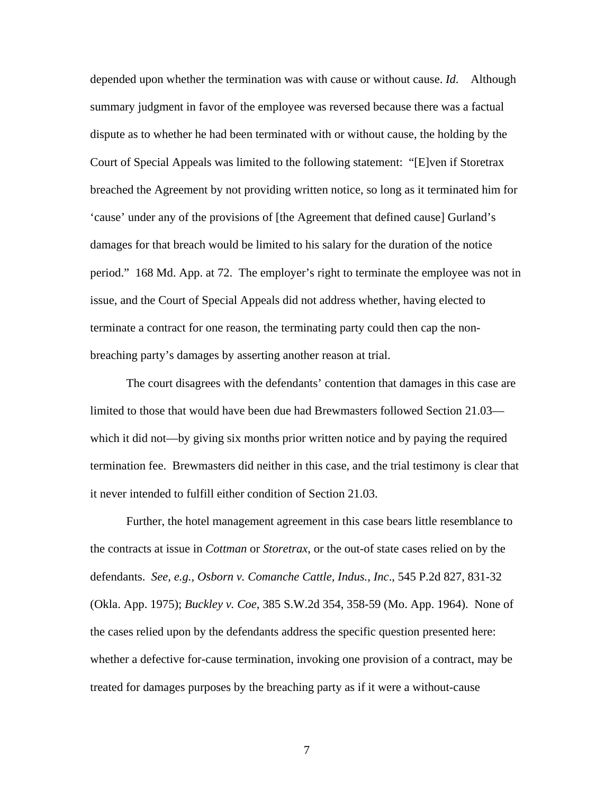depended upon whether the termination was with cause or without cause. *Id*. Although summary judgment in favor of the employee was reversed because there was a factual dispute as to whether he had been terminated with or without cause, the holding by the Court of Special Appeals was limited to the following statement: "[E]ven if Storetrax breached the Agreement by not providing written notice, so long as it terminated him for 'cause' under any of the provisions of [the Agreement that defined cause] Gurland's damages for that breach would be limited to his salary for the duration of the notice period." 168 Md. App. at 72. The employer's right to terminate the employee was not in issue, and the Court of Special Appeals did not address whether, having elected to terminate a contract for one reason, the terminating party could then cap the nonbreaching party's damages by asserting another reason at trial.

 The court disagrees with the defendants' contention that damages in this case are limited to those that would have been due had Brewmasters followed Section 21.03 which it did not—by giving six months prior written notice and by paying the required termination fee. Brewmasters did neither in this case, and the trial testimony is clear that it never intended to fulfill either condition of Section 21.03.

Further, the hotel management agreement in this case bears little resemblance to the contracts at issue in *Cottman* or *Storetrax*, or the out-of state cases relied on by the defendants. *See, e.g., Osborn v. Comanche Cattle, Indus., Inc*., 545 P.2d 827, 831-32 (Okla. App. 1975); *Buckley v. Coe*, 385 S.W.2d 354, 358-59 (Mo. App. 1964). None of the cases relied upon by the defendants address the specific question presented here: whether a defective for-cause termination, invoking one provision of a contract, may be treated for damages purposes by the breaching party as if it were a without-cause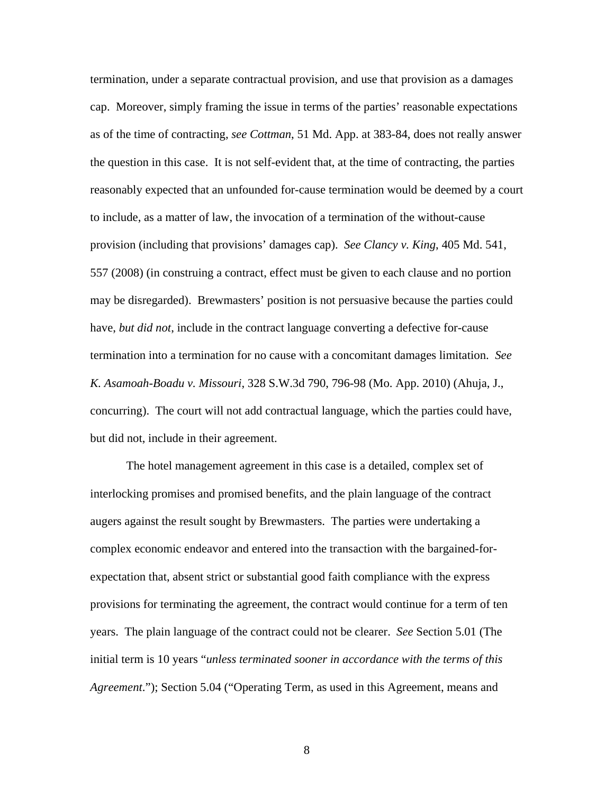termination, under a separate contractual provision, and use that provision as a damages cap. Moreover, simply framing the issue in terms of the parties' reasonable expectations as of the time of contracting, *see Cottman*, 51 Md. App. at 383-84, does not really answer the question in this case. It is not self-evident that, at the time of contracting, the parties reasonably expected that an unfounded for-cause termination would be deemed by a court to include, as a matter of law, the invocation of a termination of the without-cause provision (including that provisions' damages cap). *See Clancy v. King*, 405 Md. 541, 557 (2008) (in construing a contract, effect must be given to each clause and no portion may be disregarded). Brewmasters' position is not persuasive because the parties could have, *but did not*, include in the contract language converting a defective for-cause termination into a termination for no cause with a concomitant damages limitation. *See K. Asamoah-Boadu v. Missouri*, 328 S.W.3d 790, 796-98 (Mo. App. 2010) (Ahuja, J., concurring). The court will not add contractual language, which the parties could have, but did not, include in their agreement.

The hotel management agreement in this case is a detailed, complex set of interlocking promises and promised benefits, and the plain language of the contract augers against the result sought by Brewmasters. The parties were undertaking a complex economic endeavor and entered into the transaction with the bargained-forexpectation that, absent strict or substantial good faith compliance with the express provisions for terminating the agreement, the contract would continue for a term of ten years. The plain language of the contract could not be clearer. *See* Section 5.01 (The initial term is 10 years "*unless terminated sooner in accordance with the terms of this Agreement*."); Section 5.04 ("Operating Term, as used in this Agreement, means and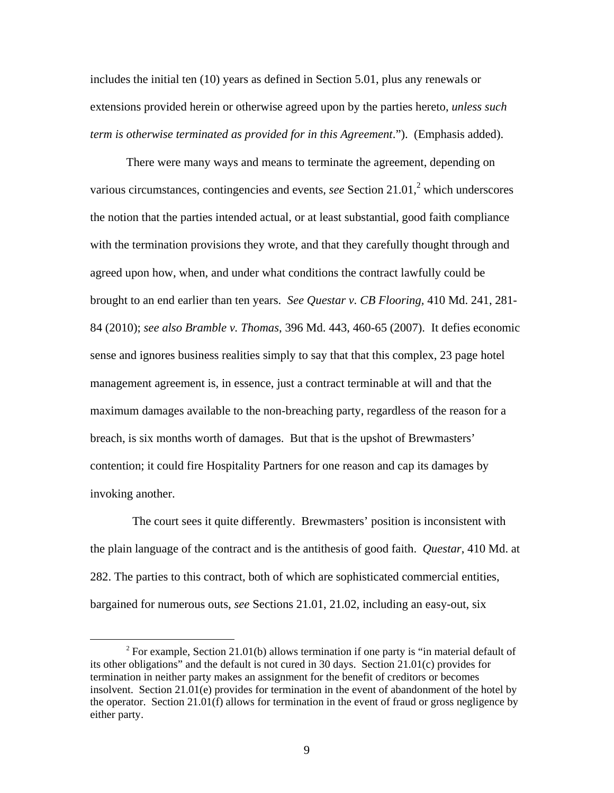includes the initial ten (10) years as defined in Section 5.01, plus any renewals or extensions provided herein or otherwise agreed upon by the parties hereto, *unless such term is otherwise terminated as provided for in this Agreement*."). (Emphasis added).

There were many ways and means to terminate the agreement, depending on various circumstances, contingencies and events, *see* Section  $21.01$ ,  $2$  which underscores the notion that the parties intended actual, or at least substantial, good faith compliance with the termination provisions they wrote, and that they carefully thought through and agreed upon how, when, and under what conditions the contract lawfully could be brought to an end earlier than ten years. *See Questar v. CB Flooring,* 410 Md. 241, 281- 84 (2010); *see also Bramble v. Thomas*, 396 Md. 443, 460-65 (2007). It defies economic sense and ignores business realities simply to say that that this complex, 23 page hotel management agreement is, in essence, just a contract terminable at will and that the maximum damages available to the non-breaching party, regardless of the reason for a breach, is six months worth of damages. But that is the upshot of Brewmasters' contention; it could fire Hospitality Partners for one reason and cap its damages by invoking another.

 The court sees it quite differently. Brewmasters' position is inconsistent with the plain language of the contract and is the antithesis of good faith. *Questar*, 410 Md. at 282. The parties to this contract, both of which are sophisticated commercial entities, bargained for numerous outs, *see* Sections 21.01, 21.02, including an easy-out, six

<sup>&</sup>lt;sup>2</sup> For example, Section 21.01(b) allows termination if one party is "in material default of its other obligations" and the default is not cured in 30 days. Section 21.01(c) provides for termination in neither party makes an assignment for the benefit of creditors or becomes insolvent. Section 21.01(e) provides for termination in the event of abandonment of the hotel by the operator. Section 21.01(f) allows for termination in the event of fraud or gross negligence by either party.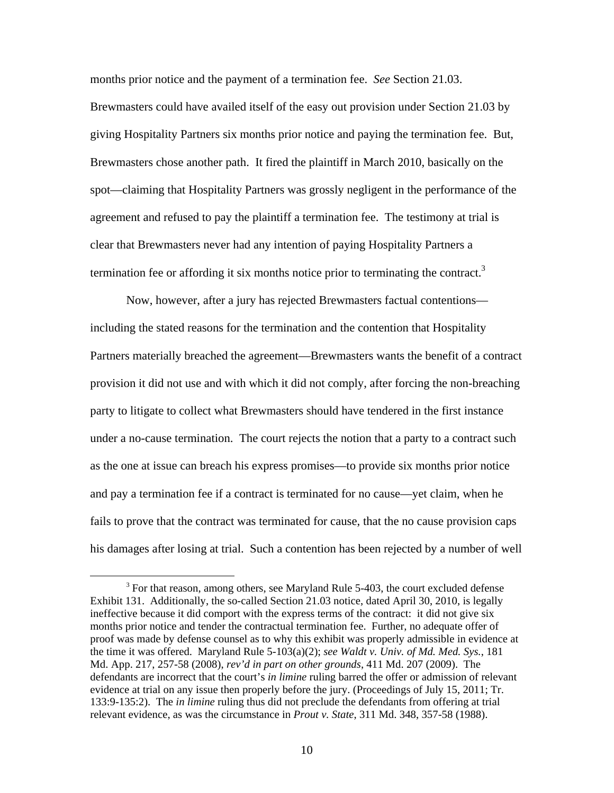months prior notice and the payment of a termination fee. *See* Section 21.03. Brewmasters could have availed itself of the easy out provision under Section 21.03 by giving Hospitality Partners six months prior notice and paying the termination fee. But, Brewmasters chose another path. It fired the plaintiff in March 2010, basically on the spot—claiming that Hospitality Partners was grossly negligent in the performance of the agreement and refused to pay the plaintiff a termination fee. The testimony at trial is clear that Brewmasters never had any intention of paying Hospitality Partners a termination fee or affording it six months notice prior to terminating the contract.<sup>3</sup>

Now, however, after a jury has rejected Brewmasters factual contentions including the stated reasons for the termination and the contention that Hospitality Partners materially breached the agreement—Brewmasters wants the benefit of a contract provision it did not use and with which it did not comply, after forcing the non-breaching party to litigate to collect what Brewmasters should have tendered in the first instance under a no-cause termination. The court rejects the notion that a party to a contract such as the one at issue can breach his express promises—to provide six months prior notice and pay a termination fee if a contract is terminated for no cause—yet claim, when he fails to prove that the contract was terminated for cause, that the no cause provision caps his damages after losing at trial. Such a contention has been rejected by a number of well

 <sup>3</sup> For that reason, among others, see Maryland Rule 5-403, the court excluded defense Exhibit 131. Additionally, the so-called Section 21.03 notice, dated April 30, 2010, is legally ineffective because it did comport with the express terms of the contract: it did not give six months prior notice and tender the contractual termination fee. Further, no adequate offer of proof was made by defense counsel as to why this exhibit was properly admissible in evidence at the time it was offered. Maryland Rule 5-103(a)(2); *see Waldt v. Univ. of Md. Med. Sys.*, 181 Md. App. 217, 257-58 (2008), *rev'd in part on other grounds*, 411 Md. 207 (2009). The defendants are incorrect that the court's *in limine* ruling barred the offer or admission of relevant evidence at trial on any issue then properly before the jury. (Proceedings of July 15, 2011; Tr. 133:9-135:2). The *in limine* ruling thus did not preclude the defendants from offering at trial relevant evidence, as was the circumstance in *Prout v. State*, 311 Md. 348, 357-58 (1988).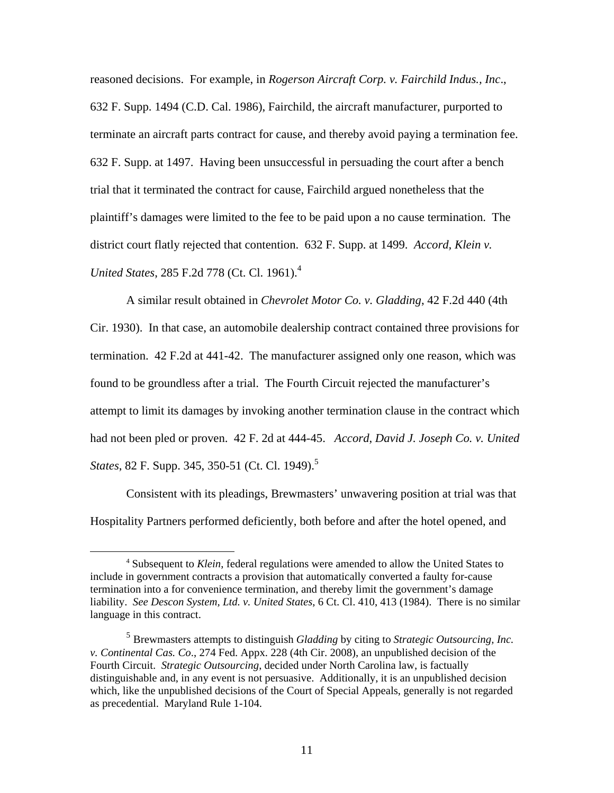reasoned decisions. For example, in *Rogerson Aircraft Corp. v. Fairchild Indus., Inc*., 632 F. Supp. 1494 (C.D. Cal. 1986), Fairchild, the aircraft manufacturer, purported to terminate an aircraft parts contract for cause, and thereby avoid paying a termination fee. 632 F. Supp. at 1497. Having been unsuccessful in persuading the court after a bench trial that it terminated the contract for cause, Fairchild argued nonetheless that the plaintiff's damages were limited to the fee to be paid upon a no cause termination. The district court flatly rejected that contention. 632 F. Supp. at 1499. *Accord, Klein v. United States*, 285 F.2d 778 (Ct. Cl. 1961).<sup>4</sup>

A similar result obtained in *Chevrolet Motor Co. v. Gladding*, 42 F.2d 440 (4th Cir. 1930). In that case, an automobile dealership contract contained three provisions for termination. 42 F.2d at 441-42. The manufacturer assigned only one reason, which was found to be groundless after a trial. The Fourth Circuit rejected the manufacturer's attempt to limit its damages by invoking another termination clause in the contract which had not been pled or proven. 42 F. 2d at 444-45. *Accord*, *David J. Joseph Co. v. United States*, 82 F. Supp. 345, 350-51 (Ct. Cl. 1949).<sup>5</sup>

Consistent with its pleadings, Brewmasters' unwavering position at trial was that Hospitality Partners performed deficiently, both before and after the hotel opened, and

 <sup>4</sup> Subsequent to *Klein*, federal regulations were amended to allow the United States to include in government contracts a provision that automatically converted a faulty for-cause termination into a for convenience termination, and thereby limit the government's damage liability. *See Descon System, Ltd. v. United States*, 6 Ct. Cl. 410, 413 (1984). There is no similar language in this contract.

<sup>5</sup> Brewmasters attempts to distinguish *Gladding* by citing to *Strategic Outsourcing, Inc. v. Continental Cas. Co*., 274 Fed. Appx. 228 (4th Cir. 2008), an unpublished decision of the Fourth Circuit. *Strategic Outsourcing*, decided under North Carolina law, is factually distinguishable and, in any event is not persuasive. Additionally, it is an unpublished decision which, like the unpublished decisions of the Court of Special Appeals, generally is not regarded as precedential. Maryland Rule 1-104.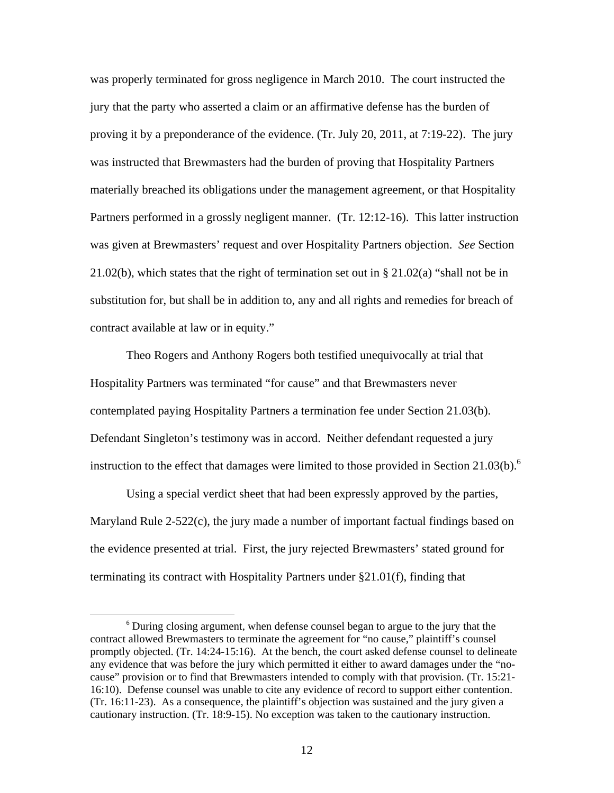was properly terminated for gross negligence in March 2010. The court instructed the jury that the party who asserted a claim or an affirmative defense has the burden of proving it by a preponderance of the evidence. (Tr. July 20, 2011, at 7:19-22). The jury was instructed that Brewmasters had the burden of proving that Hospitality Partners materially breached its obligations under the management agreement, or that Hospitality Partners performed in a grossly negligent manner. (Tr. 12:12-16). This latter instruction was given at Brewmasters' request and over Hospitality Partners objection. *See* Section 21.02(b), which states that the right of termination set out in § 21.02(a) "shall not be in substitution for, but shall be in addition to, any and all rights and remedies for breach of contract available at law or in equity."

Theo Rogers and Anthony Rogers both testified unequivocally at trial that Hospitality Partners was terminated "for cause" and that Brewmasters never contemplated paying Hospitality Partners a termination fee under Section 21.03(b). Defendant Singleton's testimony was in accord. Neither defendant requested a jury instruction to the effect that damages were limited to those provided in Section  $21.03(b)$ .<sup>6</sup>

 Using a special verdict sheet that had been expressly approved by the parties, Maryland Rule  $2-522(c)$ , the jury made a number of important factual findings based on the evidence presented at trial. First, the jury rejected Brewmasters' stated ground for terminating its contract with Hospitality Partners under §21.01(f), finding that

<sup>&</sup>lt;sup>6</sup> During closing argument, when defense counsel began to argue to the jury that the contract allowed Brewmasters to terminate the agreement for "no cause," plaintiff's counsel promptly objected. (Tr. 14:24-15:16). At the bench, the court asked defense counsel to delineate any evidence that was before the jury which permitted it either to award damages under the "nocause" provision or to find that Brewmasters intended to comply with that provision. (Tr. 15:21- 16:10). Defense counsel was unable to cite any evidence of record to support either contention. (Tr. 16:11-23). As a consequence, the plaintiff's objection was sustained and the jury given a cautionary instruction. (Tr. 18:9-15). No exception was taken to the cautionary instruction.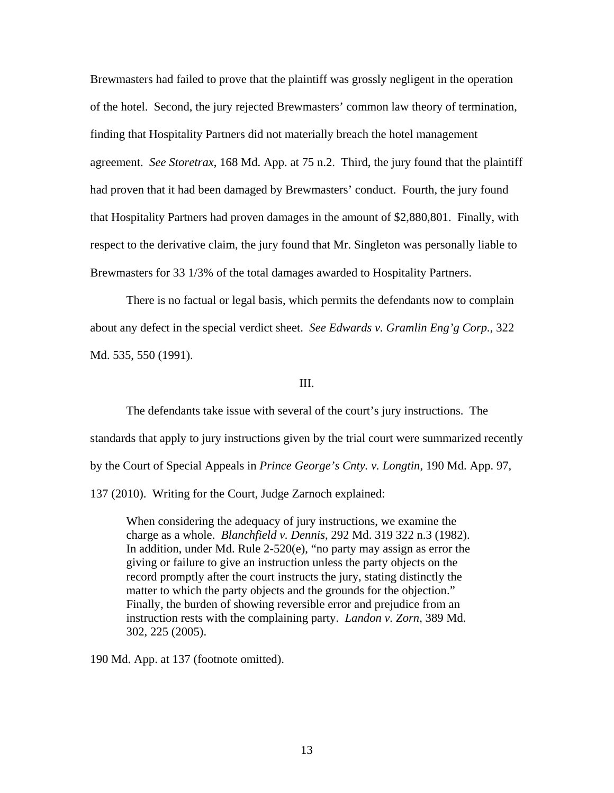Brewmasters had failed to prove that the plaintiff was grossly negligent in the operation of the hotel. Second, the jury rejected Brewmasters' common law theory of termination, finding that Hospitality Partners did not materially breach the hotel management agreement. *See Storetrax*, 168 Md. App. at 75 n.2. Third, the jury found that the plaintiff had proven that it had been damaged by Brewmasters' conduct. Fourth, the jury found that Hospitality Partners had proven damages in the amount of \$2,880,801. Finally, with respect to the derivative claim, the jury found that Mr. Singleton was personally liable to Brewmasters for 33 1/3% of the total damages awarded to Hospitality Partners.

 There is no factual or legal basis, which permits the defendants now to complain about any defect in the special verdict sheet. *See Edwards v. Gramlin Eng'g Corp.*, 322 Md. 535, 550 (1991).

#### III.

The defendants take issue with several of the court's jury instructions. The standards that apply to jury instructions given by the trial court were summarized recently by the Court of Special Appeals in *Prince George's Cnty. v. Longtin*, 190 Md. App. 97, 137 (2010). Writing for the Court, Judge Zarnoch explained:

When considering the adequacy of jury instructions, we examine the charge as a whole. *Blanchfield v. Dennis*, 292 Md. 319 322 n.3 (1982). In addition, under Md. Rule 2-520(e), "no party may assign as error the giving or failure to give an instruction unless the party objects on the record promptly after the court instructs the jury, stating distinctly the matter to which the party objects and the grounds for the objection." Finally, the burden of showing reversible error and prejudice from an instruction rests with the complaining party. *Landon v. Zorn*, 389 Md. 302, 225 (2005).

190 Md. App. at 137 (footnote omitted).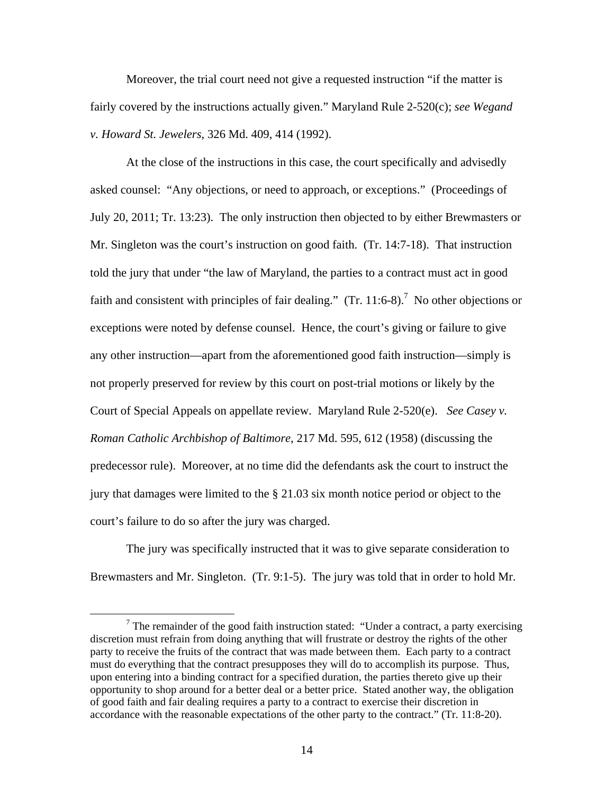Moreover, the trial court need not give a requested instruction "if the matter is fairly covered by the instructions actually given." Maryland Rule 2-520(c); *see Wegand v. Howard St. Jewelers*, 326 Md. 409, 414 (1992).

At the close of the instructions in this case, the court specifically and advisedly asked counsel: "Any objections, or need to approach, or exceptions." (Proceedings of July 20, 2011; Tr. 13:23). The only instruction then objected to by either Brewmasters or Mr. Singleton was the court's instruction on good faith. (Tr. 14:7-18). That instruction told the jury that under "the law of Maryland, the parties to a contract must act in good faith and consistent with principles of fair dealing."  $(Tr. 11:6-8)$ .<sup>7</sup> No other objections or exceptions were noted by defense counsel. Hence, the court's giving or failure to give any other instruction—apart from the aforementioned good faith instruction—simply is not properly preserved for review by this court on post-trial motions or likely by the Court of Special Appeals on appellate review. Maryland Rule 2-520(e). *See Casey v. Roman Catholic Archbishop of Baltimore*, 217 Md. 595, 612 (1958) (discussing the predecessor rule). Moreover, at no time did the defendants ask the court to instruct the jury that damages were limited to the § 21.03 six month notice period or object to the court's failure to do so after the jury was charged.

The jury was specifically instructed that it was to give separate consideration to Brewmasters and Mr. Singleton. (Tr. 9:1-5). The jury was told that in order to hold Mr.

 $\begin{array}{c|c}\n\hline\n\end{array}$  $\frac{7}{7}$  The remainder of the good faith instruction stated: "Under a contract, a party exercising discretion must refrain from doing anything that will frustrate or destroy the rights of the other party to receive the fruits of the contract that was made between them. Each party to a contract must do everything that the contract presupposes they will do to accomplish its purpose. Thus, upon entering into a binding contract for a specified duration, the parties thereto give up their opportunity to shop around for a better deal or a better price. Stated another way, the obligation of good faith and fair dealing requires a party to a contract to exercise their discretion in accordance with the reasonable expectations of the other party to the contract." (Tr. 11:8-20).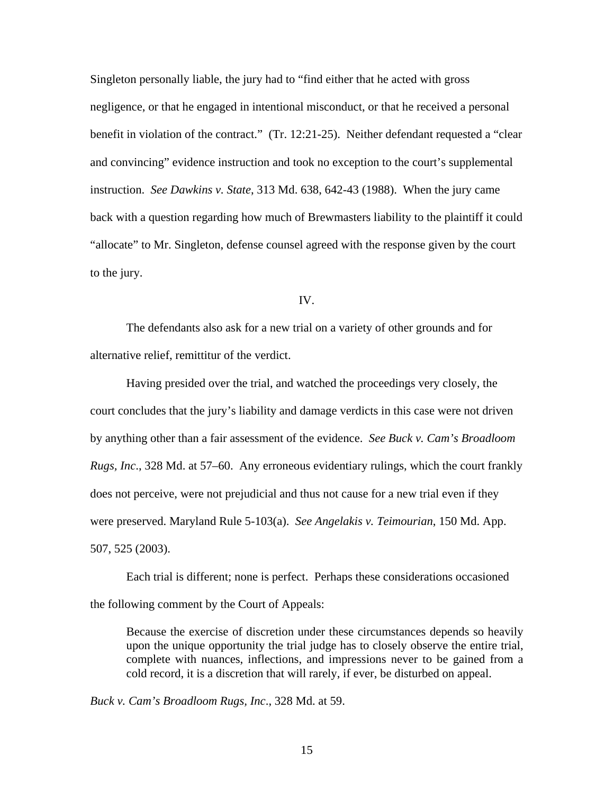Singleton personally liable, the jury had to "find either that he acted with gross negligence, or that he engaged in intentional misconduct, or that he received a personal benefit in violation of the contract." (Tr. 12:21-25). Neither defendant requested a "clear and convincing" evidence instruction and took no exception to the court's supplemental instruction. *See Dawkins v. State*, 313 Md. 638, 642-43 (1988). When the jury came back with a question regarding how much of Brewmasters liability to the plaintiff it could "allocate" to Mr. Singleton, defense counsel agreed with the response given by the court to the jury.

IV.

 The defendants also ask for a new trial on a variety of other grounds and for alternative relief, remittitur of the verdict.

Having presided over the trial, and watched the proceedings very closely, the court concludes that the jury's liability and damage verdicts in this case were not driven by anything other than a fair assessment of the evidence. *See Buck v. Cam's Broadloom Rugs, Inc*., 328 Md. at 57–60. Any erroneous evidentiary rulings, which the court frankly does not perceive, were not prejudicial and thus not cause for a new trial even if they were preserved. Maryland Rule 5-103(a). *See Angelakis v. Teimourian*, 150 Md. App. 507, 525 (2003).

Each trial is different; none is perfect. Perhaps these considerations occasioned the following comment by the Court of Appeals:

Because the exercise of discretion under these circumstances depends so heavily upon the unique opportunity the trial judge has to closely observe the entire trial, complete with nuances, inflections, and impressions never to be gained from a cold record, it is a discretion that will rarely, if ever, be disturbed on appeal.

*Buck v. Cam's Broadloom Rugs, Inc*., 328 Md. at 59.